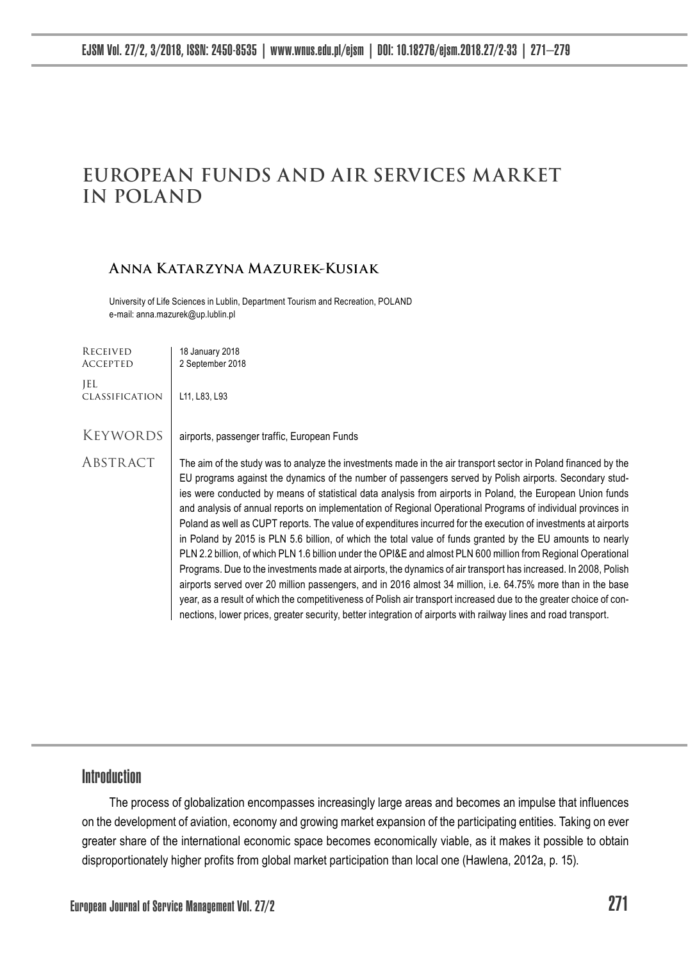# **EUROPEAN FUNDS AND AIR SERVICES MARKET IN POLAND**

#### **Anna Katarzyna Mazurek-Kusiak**

University of Life Sciences in Lublin, Department Tourism and Recreation, POLAND e-mail: anna.mazurek@up.lublin.pl

| RECEIVED<br><b>ACCEPTED</b> | 18 January 2018<br>2 September 2018                                                                                                                                                                                                                                                                                                                                                                                                                                                                                                                                                                                                                                                                                                                                                                                                                                                                                                                                                                                                                                                                                                                                                                                                                                                     |
|-----------------------------|-----------------------------------------------------------------------------------------------------------------------------------------------------------------------------------------------------------------------------------------------------------------------------------------------------------------------------------------------------------------------------------------------------------------------------------------------------------------------------------------------------------------------------------------------------------------------------------------------------------------------------------------------------------------------------------------------------------------------------------------------------------------------------------------------------------------------------------------------------------------------------------------------------------------------------------------------------------------------------------------------------------------------------------------------------------------------------------------------------------------------------------------------------------------------------------------------------------------------------------------------------------------------------------------|
| JEL.<br>CLASSIFICATION      | L11, L83, L93                                                                                                                                                                                                                                                                                                                                                                                                                                                                                                                                                                                                                                                                                                                                                                                                                                                                                                                                                                                                                                                                                                                                                                                                                                                                           |
| KEYWORDS                    | airports, passenger traffic, European Funds                                                                                                                                                                                                                                                                                                                                                                                                                                                                                                                                                                                                                                                                                                                                                                                                                                                                                                                                                                                                                                                                                                                                                                                                                                             |
| ABSTRACT                    | The aim of the study was to analyze the investments made in the air transport sector in Poland financed by the<br>EU programs against the dynamics of the number of passengers served by Polish airports. Secondary stud-<br>ies were conducted by means of statistical data analysis from airports in Poland, the European Union funds<br>and analysis of annual reports on implementation of Regional Operational Programs of individual provinces in<br>Poland as well as CUPT reports. The value of expenditures incurred for the execution of investments at airports<br>in Poland by 2015 is PLN 5.6 billion, of which the total value of funds granted by the EU amounts to nearly<br>PLN 2.2 billion, of which PLN 1.6 billion under the OPI&E and almost PLN 600 million from Regional Operational<br>Programs. Due to the investments made at airports, the dynamics of air transport has increased. In 2008, Polish<br>airports served over 20 million passengers, and in 2016 almost 34 million, i.e. 64.75% more than in the base<br>year, as a result of which the competitiveness of Polish air transport increased due to the greater choice of con-<br>nections, lower prices, greater security, better integration of airports with railway lines and road transport. |

# Introduction

The process of globalization encompasses increasingly large areas and becomes an impulse that influences on the development of aviation, economy and growing market expansion of the participating entities. Taking on ever greater share of the international economic space becomes economically viable, as it makes it possible to obtain disproportionately higher profits from global market participation than local one (Hawlena, 2012a, p. 15).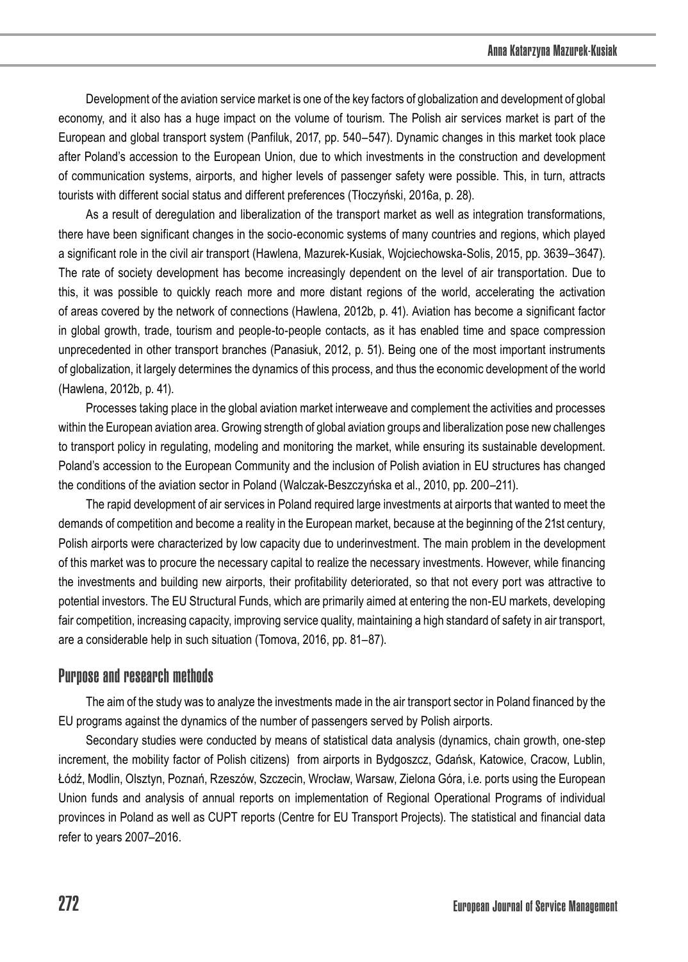Development of the aviation service market is one of the key factors of globalization and development of global economy, and it also has a huge impact on the volume of tourism. The Polish air services market is part of the European and global transport system (Panfiluk, 2017, pp. 540–547). Dynamic changes in this market took place after Poland's accession to the European Union, due to which investments in the construction and development of communication systems, airports, and higher levels of passenger safety were possible. This, in turn, attracts tourists with different social status and different preferences (Tłoczyński, 2016a, p. 28).

As a result of deregulation and liberalization of the transport market as well as integration transformations, there have been significant changes in the socio-economic systems of many countries and regions, which played a significant role in the civil air transport (Hawlena, Mazurek-Kusiak, Wojciechowska-Solis, 2015, pp. 3639–3647). The rate of society development has become increasingly dependent on the level of air transportation. Due to this, it was possible to quickly reach more and more distant regions of the world, accelerating the activation of areas covered by the network of connections (Hawlena, 2012b, p. 41). Aviation has become a significant factor in global growth, trade, tourism and people-to-people contacts, as it has enabled time and space compression unprecedented in other transport branches (Panasiuk, 2012, p. 51). Being one of the most important instruments of globalization, it largely determines the dynamics of this process, and thus the economic development of the world (Hawlena, 2012b, p. 41).

Processes taking place in the global aviation market interweave and complement the activities and processes within the European aviation area. Growing strength of global aviation groups and liberalization pose new challenges to transport policy in regulating, modeling and monitoring the market, while ensuring its sustainable development. Poland's accession to the European Community and the inclusion of Polish aviation in EU structures has changed the conditions of the aviation sector in Poland (Walczak-Beszczyńska et al., 2010, pp. 200–211).

The rapid development of air services in Poland required large investments at airports that wanted to meet the demands of competition and become a reality in the European market, because at the beginning of the 21st century, Polish airports were characterized by low capacity due to underinvestment. The main problem in the development of this market was to procure the necessary capital to realize the necessary investments. However, while financing the investments and building new airports, their profitability deteriorated, so that not every port was attractive to potential investors. The EU Structural Funds, which are primarily aimed at entering the non-EU markets, developing fair competition, increasing capacity, improving service quality, maintaining a high standard of safety in air transport, are a considerable help in such situation (Tomova, 2016, pp. 81–87).

### Purpose and research methods

The aim of the study was to analyze the investments made in the air transport sector in Poland financed by the EU programs against the dynamics of the number of passengers served by Polish airports.

Secondary studies were conducted by means of statistical data analysis (dynamics, chain growth, one-step increment, the mobility factor of Polish citizens) from airports in Bydgoszcz, Gdańsk, Katowice, Cracow, Lublin, Łódź, Modlin, Olsztyn, Poznań, Rzeszów, Szczecin, Wrocław, Warsaw, Zielona Góra, i.e. ports using the European Union funds and analysis of annual reports on implementation of Regional Operational Programs of individual provinces in Poland as well as CUPT reports (Centre for EU Transport Projects). The statistical and financial data refer to years 2007–2016.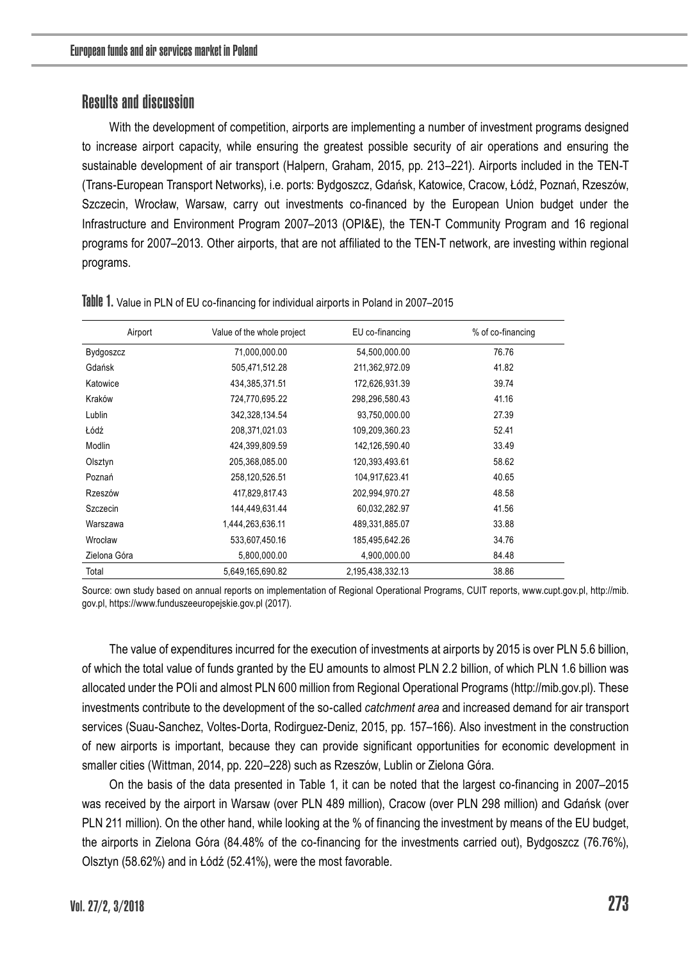## Results and discussion

With the development of competition, airports are implementing a number of investment programs designed to increase airport capacity, while ensuring the greatest possible security of air operations and ensuring the sustainable development of air transport (Halpern, Graham, 2015, pp. 213–221). Airports included in the TEN-T (Trans-European Transport Networks), i.e. ports: Bydgoszcz, Gdańsk, Katowice, Cracow, Łódź, Poznań, Rzeszów, Szczecin, Wrocław, Warsaw, carry out investments co-financed by the European Union budget under the Infrastructure and Environment Program 2007–2013 (OPI&E), the TEN-T Community Program and 16 regional programs for 2007–2013. Other airports, that are not affiliated to the TEN-T network, are investing within regional programs.

| Airport      | Value of the whole project | EU co-financing  | % of co-financing |
|--------------|----------------------------|------------------|-------------------|
| Bydgoszcz    | 71,000,000.00              | 54,500,000.00    | 76.76             |
| Gdańsk       | 505,471,512.28             | 211,362,972.09   | 41.82             |
| Katowice     | 434,385,371.51             | 172,626,931.39   | 39.74             |
| Kraków       | 724,770,695.22             | 298,296,580.43   | 41.16             |
| Lublin       | 342,328,134.54             | 93,750,000.00    | 27.39             |
| Łódź         | 208,371,021.03             | 109,209,360.23   | 52.41             |
| Modlin       | 424,399,809.59             | 142,126,590.40   | 33.49             |
| Olsztyn      | 205,368,085.00             | 120,393,493.61   | 58.62             |
| Poznań       | 258,120,526.51             | 104,917,623.41   | 40.65             |
| Rzeszów      | 417,829,817.43             | 202,994,970.27   | 48.58             |
| Szczecin     | 144.449.631.44             | 60,032,282.97    | 41.56             |
| Warszawa     | 1,444,263,636.11           | 489,331,885.07   | 33.88             |
| Wrocław      | 533,607,450.16             | 185,495,642.26   | 34.76             |
| Zielona Góra | 5,800,000.00               | 4,900,000.00     | 84.48             |
| Total        | 5,649,165,690.82           | 2,195,438,332.13 | 38.86             |

Table 1. Value in PLN of EU co-financing for individual airports in Poland in 2007-2015

Source: own study based on annual reports on implementation of Regional Operational Programs, CUIT reports, www.cupt.gov.pl, http://mib. gov.pl, https://www.funduszeeuropejskie.gov.pl (2017).

The value of expenditures incurred for the execution of investments at airports by 2015 is over PLN 5.6 billion, of which the total value of funds granted by the EU amounts to almost PLN 2.2 billion, of which PLN 1.6 billion was allocated under the POIi and almost PLN 600 million from Regional Operational Programs (http://mib.gov.pl). These investments contribute to the development of the so-called *catchment area* and increased demand for air transport services (Suau-Sanchez, Voltes-Dorta, Rodirguez-Deniz, 2015, pp. 157–166). Also investment in the construction of new airports is important, because they can provide significant opportunities for economic development in smaller cities (Wittman, 2014, pp. 220–228) such as Rzeszów, Lublin or Zielona Góra.

On the basis of the data presented in Table 1, it can be noted that the largest co-financing in 2007–2015 was received by the airport in Warsaw (over PLN 489 million), Cracow (over PLN 298 million) and Gdańsk (over PLN 211 million). On the other hand, while looking at the % of financing the investment by means of the EU budget, the airports in Zielona Góra (84.48% of the co-financing for the investments carried out), Bydgoszcz (76.76%), Olsztyn (58.62%) and in Łódź (52.41%), were the most favorable.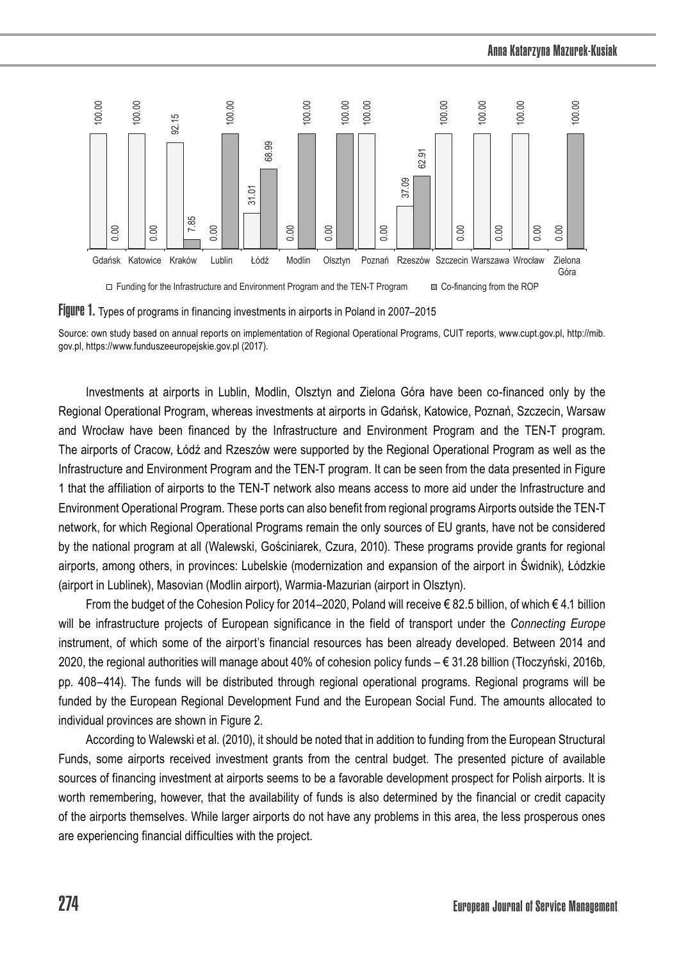



Source: own study based on annual reports on implementation of Regional Operational Programs, CUIT reports, www.cupt.gov.pl, http://mib. gov.pl, https://www.funduszeeuropejskie.gov.pl (2017).

Investments at airports in Lublin, Modlin, Olsztyn and Zielona Góra have been co-financed only by the Regional Operational Program, whereas investments at airports in Gdańsk, Katowice, Poznań, Szczecin, Warsaw and Wrocław have been financed by the Infrastructure and Environment Program and the TEN-T program. The airports of Cracow, Łódź and Rzeszów were supported by the Regional Operational Program as well as the Infrastructure and Environment Program and the TEN-T program. It can be seen from the data presented in Figure 1 that the affiliation of airports to the TEN-T network also means access to more aid under the Infrastructure and Environment Operational Program. These ports can also benefit from regional programs Airports outside the TEN-T network, for which Regional Operational Programs remain the only sources of EU grants, have not be considered by the national program at all (Walewski, Gościniarek, Czura, 2010). These programs provide grants for regional airports, among others, in provinces: Lubelskie (modernization and expansion of the airport in Świdnik), Łódzkie (airport in Lublinek), Masovian (Modlin airport), Warmia-Mazurian (airport in Olsztyn).

From the budget of the Cohesion Policy for 2014–2020, Poland will receive € 82.5 billion, of which € 4.1 billion will be infrastructure projects of European significance in the field of transport under the *Connecting Europe* instrument, of which some of the airport's financial resources has been already developed. Between 2014 and 2020, the regional authorities will manage about 40% of cohesion policy funds – € 31.28 billion (Tłoczyński, 2016b, pp. 408–414). The funds will be distributed through regional operational programs. Regional programs will be funded by the European Regional Development Fund and the European Social Fund. The amounts allocated to individual provinces are shown in Figure 2.

According to Walewski et al. (2010), it should be noted that in addition to funding from the European Structural Funds, some airports received investment grants from the central budget. The presented picture of available sources of financing investment at airports seems to be a favorable development prospect for Polish airports. It is worth remembering, however, that the availability of funds is also determined by the financial or credit capacity of the airports themselves. While larger airports do not have any problems in this area, the less prosperous ones are experiencing financial difficulties with the project.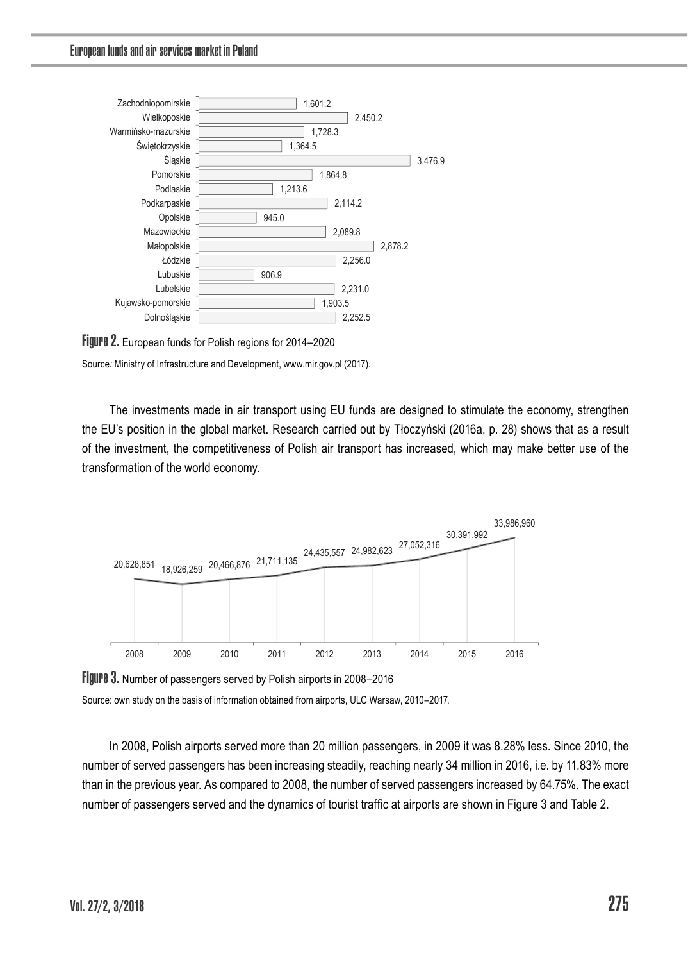

FIUUPE 2. European funds for Polish regions for 2014–2020

Source: Ministry of Infrastructure and Development, www.mir.gov.pl (2017).

The investments made in air transport using EU funds are designed to stimulate the economy, strengthen the EU's position in the global market. Research carried out by Tłoczyński (2016a, p. 28) shows that as a result of the investment, the competitiveness of Polish air transport has increased, which may make better use of the transformation of the world economy.



Figure 3. Number of passengers served by Polish airports in 2008-2016

Source: own study on the basis of information obtained from airports, ULC Warsaw, 2010–2017.

In 2008, Polish airports served more than 20 million passengers, in 2009 it was 8.28% less. Since 2010, the number of served passengers has been increasing steadily, reaching nearly 34 million in 2016, i.e. by 11.83% more than in the previous year. As compared to 2008, the number of served passengers increased by 64.75%. The exact number of passengers served and the dynamics of tourist traffic at airports are shown in Figure 3 and Table 2.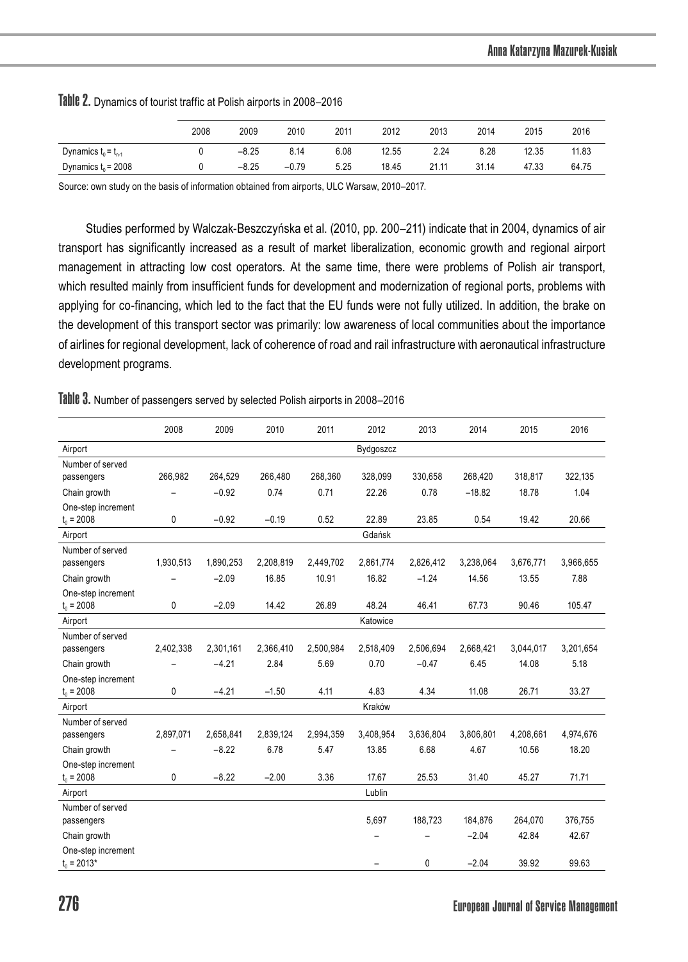|                          | 2008 | 2009    | 2010    | 2011 | 2012  | 2013  | 2014  | 2015  | 2016  |
|--------------------------|------|---------|---------|------|-------|-------|-------|-------|-------|
| Dynamics $t_0 = t_{n-1}$ |      | $-8.25$ | 8.14    | 6.08 | 12.55 | 2.24  | 8.28  | 12.35 | 11.83 |
| Dynamics $t_0$ = 2008    |      | $-8.25$ | $-0.79$ | 5.25 | 18.45 | 21.11 | 31.14 | 47.33 | 64.75 |

#### Table 2. Dynamics of tourist traffic at Polish airports in 2008–2016

Source: own study on the basis of information obtained from airports, ULC Warsaw, 2010–2017.

Studies performed by Walczak-Beszczyńska et al. (2010, pp. 200–211) indicate that in 2004, dynamics of air transport has significantly increased as a result of market liberalization, economic growth and regional airport management in attracting low cost operators. At the same time, there were problems of Polish air transport, which resulted mainly from insufficient funds for development and modernization of regional ports, problems with applying for co-financing, which led to the fact that the EU funds were not fully utilized. In addition, the brake on the development of this transport sector was primarily: low awareness of local communities about the importance of airlines for regional development, lack of coherence of road and rail infrastructure with aeronautical infrastructure development programs.

Table 3. Number of passengers served by selected Polish airports in 2008–2016

|                                     | 2008      | 2009      | 2010      | 2011      | 2012      | 2013      | 2014      | 2015      | 2016      |
|-------------------------------------|-----------|-----------|-----------|-----------|-----------|-----------|-----------|-----------|-----------|
| Airport                             | Bydgoszcz |           |           |           |           |           |           |           |           |
| Number of served                    |           |           |           |           |           |           |           |           |           |
| passengers                          | 266.982   | 264.529   | 266,480   | 268.360   | 328.099   | 330.658   | 268.420   | 318.817   | 322.135   |
| Chain growth                        |           | $-0.92$   | 0.74      | 0.71      | 22.26     | 0.78      | $-18.82$  | 18.78     | 1.04      |
| One-step increment<br>$t_0 = 2008$  | 0         | $-0.92$   | $-0.19$   | 0.52      | 22.89     | 23.85     | 0.54      | 19.42     | 20.66     |
| Airport                             |           |           |           |           | Gdańsk    |           |           |           |           |
| Number of served<br>passengers      | 1,930,513 | 1,890,253 | 2,208,819 | 2,449,702 | 2,861,774 | 2,826,412 | 3,238,064 | 3,676,771 | 3,966,655 |
| Chain growth                        |           | $-2.09$   | 16.85     | 10.91     | 16.82     | $-1.24$   | 14.56     | 13.55     | 7.88      |
| One-step increment<br>$t_0 = 2008$  | 0         | $-2.09$   | 14.42     | 26.89     | 48.24     | 46.41     | 67.73     | 90.46     | 105.47    |
| Airport                             | Katowice  |           |           |           |           |           |           |           |           |
| Number of served<br>passengers      | 2,402,338 | 2,301,161 | 2,366,410 | 2,500,984 | 2,518,409 | 2,506,694 | 2,668,421 | 3,044,017 | 3,201,654 |
| Chain growth                        |           | $-4.21$   | 2.84      | 5.69      | 0.70      | $-0.47$   | 6.45      | 14.08     | 5.18      |
| One-step increment<br>$t_0 = 2008$  | 0         | $-4.21$   | $-1.50$   | 4.11      | 4.83      | 4.34      | 11.08     | 26.71     | 33.27     |
| Airport                             |           |           |           |           | Kraków    |           |           |           |           |
| Number of served<br>passengers      | 2,897,071 | 2,658,841 | 2,839,124 | 2,994,359 | 3,408,954 | 3,636,804 | 3,806,801 | 4,208,661 | 4,974,676 |
| Chain growth                        |           | $-8.22$   | 6.78      | 5.47      | 13.85     | 6.68      | 4.67      | 10.56     | 18.20     |
| One-step increment<br>$t_0 = 2008$  | 0         | $-8.22$   | $-2.00$   | 3.36      | 17.67     | 25.53     | 31.40     | 45.27     | 71.71     |
| Airport                             |           |           |           |           | Lublin    |           |           |           |           |
| Number of served<br>passengers      |           |           |           |           | 5,697     | 188,723   | 184,876   | 264,070   | 376,755   |
| Chain growth                        |           |           |           |           |           |           | $-2.04$   | 42.84     | 42.67     |
| One-step increment<br>$t_0 = 2013*$ |           |           |           |           |           | 0         | $-2.04$   | 39.92     | 99.63     |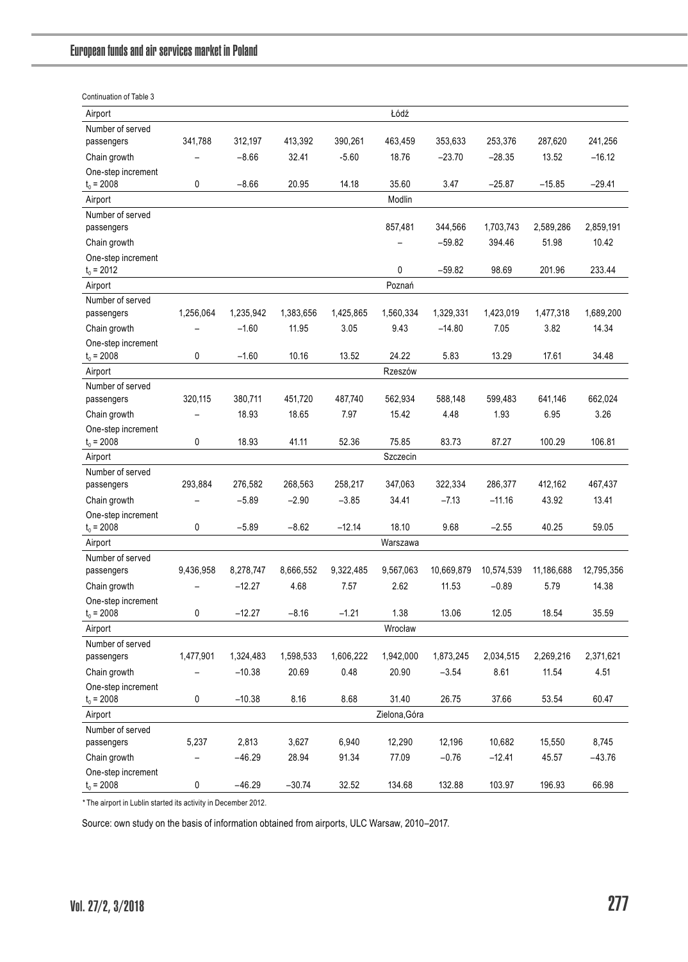| Continuation of Table 3            |           |           |           |           |               |            |            |            |            |
|------------------------------------|-----------|-----------|-----------|-----------|---------------|------------|------------|------------|------------|
| Airport                            |           |           |           |           | Łódź          |            |            |            |            |
| Number of served                   |           |           |           |           |               |            |            |            |            |
| passengers                         | 341,788   | 312,197   | 413,392   | 390,261   | 463,459       | 353,633    | 253,376    | 287,620    | 241,256    |
| Chain growth                       |           | $-8.66$   | 32.41     | $-5.60$   | 18.76         | $-23.70$   | $-28.35$   | 13.52      | $-16.12$   |
| One-step increment                 |           |           |           |           |               |            |            |            |            |
| $t_0 = 2008$                       | 0         | $-8.66$   | 20.95     | 14.18     | 35.60         | 3.47       | $-25.87$   | $-15.85$   | $-29.41$   |
| Airport                            |           |           |           |           | Modlin        |            |            |            |            |
| Number of served                   |           |           |           |           |               |            |            |            |            |
| passengers                         |           |           |           |           | 857,481       | 344,566    | 1,703,743  | 2,589,286  | 2,859,191  |
| Chain growth                       |           |           |           |           |               | $-59.82$   | 394.46     | 51.98      | 10.42      |
| One-step increment                 |           |           |           |           |               |            |            |            |            |
| $t_0$ = 2012                       |           |           |           |           | 0             | $-59.82$   | 98.69      | 201.96     | 233.44     |
| Airport                            |           |           |           |           | Poznań        |            |            |            |            |
| Number of served                   |           |           |           |           |               |            |            |            |            |
| passengers                         | 1,256,064 | 1,235,942 | 1,383,656 | 1,425,865 | 1,560,334     | 1,329,331  | 1,423,019  | 1,477,318  | 1,689,200  |
| Chain growth                       |           | $-1.60$   | 11.95     | 3.05      | 9.43          | $-14.80$   | 7.05       | 3.82       | 14.34      |
| One-step increment<br>$t_0 = 2008$ | 0         | $-1.60$   | 10.16     | 13.52     | 24.22         | 5.83       | 13.29      | 17.61      | 34.48      |
| Airport                            |           |           |           |           | Rzeszów       |            |            |            |            |
| Number of served                   |           |           |           |           |               |            |            |            |            |
| passengers                         | 320,115   | 380,711   | 451,720   | 487,740   | 562,934       | 588,148    | 599,483    | 641,146    | 662,024    |
| Chain growth                       |           | 18.93     | 18.65     | 7.97      | 15.42         | 4.48       | 1.93       | 6.95       | 3.26       |
| One-step increment                 |           |           |           |           |               |            |            |            |            |
| $t_0 = 2008$                       | 0         | 18.93     | 41.11     | 52.36     | 75.85         | 83.73      | 87.27      | 100.29     | 106.81     |
| Airport                            |           |           |           |           | Szczecin      |            |            |            |            |
| Number of served                   |           |           |           |           |               |            |            |            |            |
| passengers                         | 293,884   | 276,582   | 268,563   | 258,217   | 347,063       | 322,334    | 286,377    | 412,162    | 467,437    |
| Chain growth                       | ÷         | $-5.89$   | $-2.90$   | $-3.85$   | 34.41         | $-7.13$    | $-11.16$   | 43.92      | 13.41      |
| One-step increment                 |           |           |           |           |               |            |            |            |            |
| $t_0 = 2008$                       | 0         | $-5.89$   | $-8.62$   | $-12.14$  | 18.10         | 9.68       | $-2.55$    | 40.25      | 59.05      |
| Airport                            |           |           |           |           | Warszawa      |            |            |            |            |
| Number of served                   |           |           |           |           |               |            |            |            |            |
| passengers                         | 9,436,958 | 8,278,747 | 8,666,552 | 9,322,485 | 9,567,063     | 10,669,879 | 10,574,539 | 11,186,688 | 12,795,356 |
| Chain growth                       |           | $-12.27$  | 4.68      | 7.57      | 2.62          | 11.53      | $-0.89$    | 5.79       | 14.38      |
| One-step increment<br>$t_0 = 2008$ | 0         | $-12.27$  | $-8.16$   | $-1.21$   | 1.38          | 13.06      | 12.05      | 18.54      | 35.59      |
| Airport                            |           |           |           |           | Wrocław       |            |            |            |            |
| Number of served                   |           |           |           |           |               |            |            |            |            |
| passengers                         | 1,477,901 | 1,324,483 | 1,598,533 | 1,606,222 | 1,942,000     | 1,873,245  | 2,034,515  | 2,269,216  | 2,371,621  |
| Chain growth                       |           | $-10.38$  | 20.69     | 0.48      | 20.90         | $-3.54$    | 8.61       | 11.54      | 4.51       |
| One-step increment                 |           |           |           |           |               |            |            |            |            |
| $t_0 = 2008$                       | 0         | $-10.38$  | 8.16      | 8.68      | 31.40         | 26.75      | 37.66      | 53.54      | 60.47      |
| Airport                            |           |           |           |           | Zielona, Góra |            |            |            |            |
| Number of served                   |           |           |           |           |               |            |            |            |            |
| passengers                         | 5,237     | 2,813     | 3,627     | 6,940     | 12,290        | 12,196     | 10,682     | 15,550     | 8,745      |
| Chain growth                       | ۳         | $-46.29$  | 28.94     | 91.34     | 77.09         | $-0.76$    | $-12.41$   | 45.57      | $-43.76$   |
| One-step increment                 |           |           |           |           |               |            |            |            |            |
| $t_0 = 2008$                       | 0         | $-46.29$  | $-30.74$  | 32.52     | 134.68        | 132.88     | 103.97     | 196.93     | 66.98      |

*\** The airport in Lublin started its activity in December 2012.

Source: own study on the basis of information obtained from airports, ULC Warsaw, 2010–2017.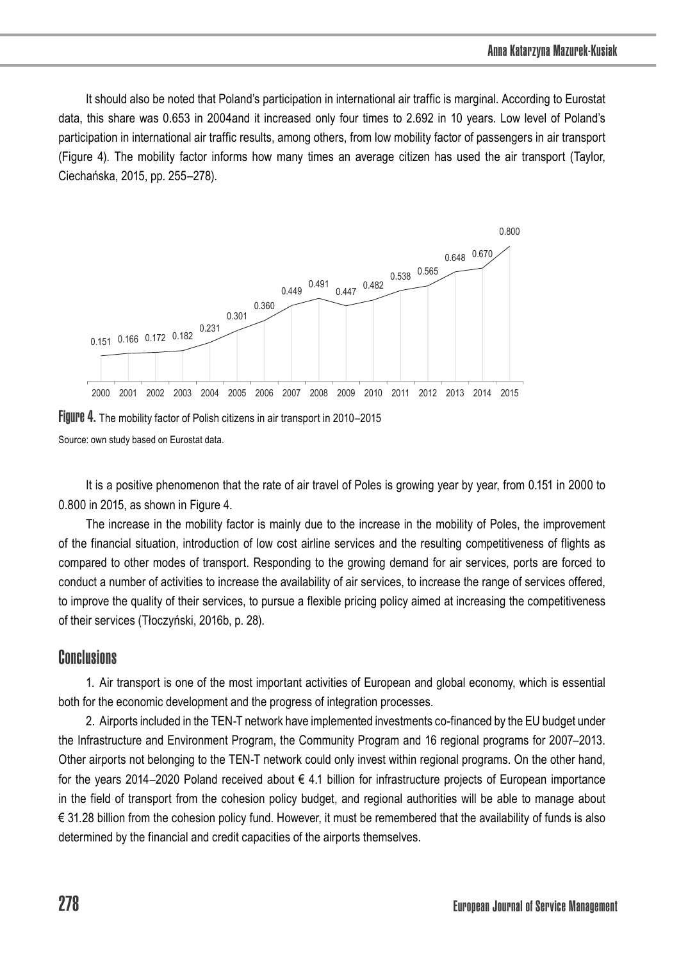It should also be noted that Poland's participation in international air traffic is marginal. According to Eurostat data, this share was 0.653 in 2004and it increased only four times to 2.692 in 10 years. Low level of Poland's participation in international air traffic results, among others, from low mobility factor of passengers in air transport (Figure 4). The mobility factor informs how many times an average citizen has used the air transport (Taylor, Ciechańska, 2015, pp. 255–278).



Figure 4. The mobility factor of Polish citizens in air transport in 2010–2015 Source: own study based on Eurostat data.

It is a positive phenomenon that the rate of air travel of Poles is growing year by year, from 0.151 in 2000 to 0.800 in 2015, as shown in Figure 4.

The increase in the mobility factor is mainly due to the increase in the mobility of Poles, the improvement of the financial situation, introduction of low cost airline services and the resulting competitiveness of flights as compared to other modes of transport. Responding to the growing demand for air services, ports are forced to conduct a number of activities to increase the availability of air services, to increase the range of services offered, to improve the quality of their services, to pursue a flexible pricing policy aimed at increasing the competitiveness of their services (Tłoczyński, 2016b, p. 28).

### **Conclusions**

1. Air transport is one of the most important activities of European and global economy, which is essential both for the economic development and the progress of integration processes.

2. Airports included in the TEN-T network have implemented investments co-financed by the EU budget under the Infrastructure and Environment Program, the Community Program and 16 regional programs for 2007–2013. Other airports not belonging to the TEN-T network could only invest within regional programs. On the other hand, for the years 2014–2020 Poland received about € 4.1 billion for infrastructure projects of European importance in the field of transport from the cohesion policy budget, and regional authorities will be able to manage about € 31.28 billion from the cohesion policy fund. However, it must be remembered that the availability of funds is also determined by the financial and credit capacities of the airports themselves.